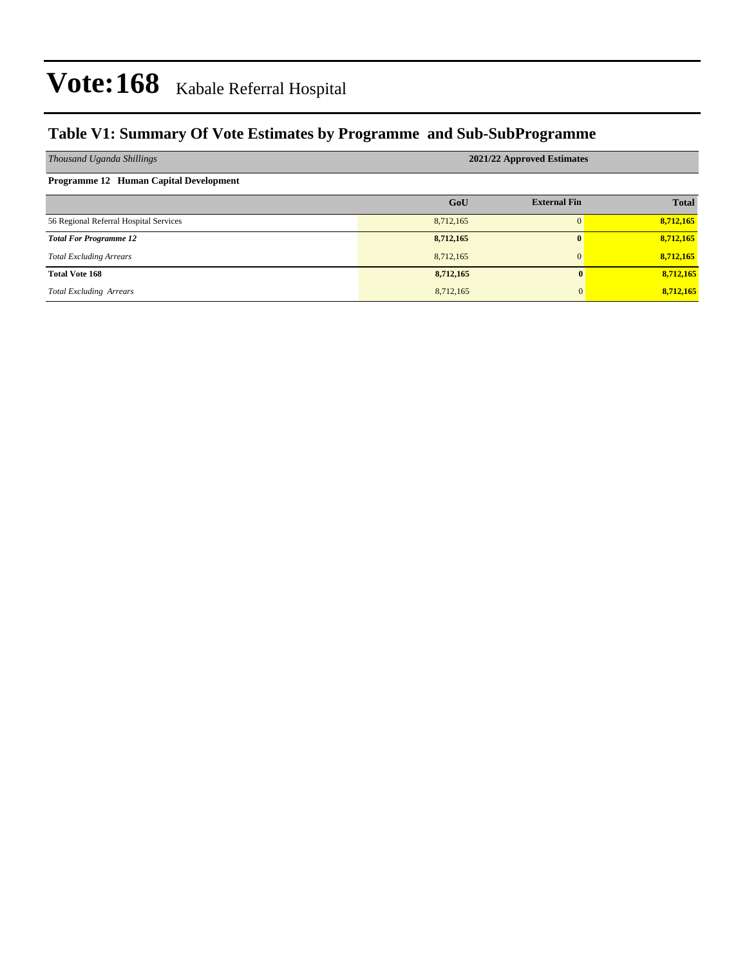### **Table V1: Summary Of Vote Estimates by Programme and Sub-SubProgramme**

| Thousand Uganda Shillings              | 2021/22 Approved Estimates |                     |              |  |  |  |  |  |
|----------------------------------------|----------------------------|---------------------|--------------|--|--|--|--|--|
| Programme 12 Human Capital Development |                            |                     |              |  |  |  |  |  |
|                                        | GoU                        | <b>External Fin</b> | <b>Total</b> |  |  |  |  |  |
| 56 Regional Referral Hospital Services | 8,712,165                  |                     | 8,712,165    |  |  |  |  |  |
| <b>Total For Programme 12</b>          | 8,712,165                  | $\mathbf{0}$        | 8,712,165    |  |  |  |  |  |
| <b>Total Excluding Arrears</b>         | 8,712,165                  | $\Omega$            | 8,712,165    |  |  |  |  |  |
| <b>Total Vote 168</b>                  | 8,712,165                  | $\mathbf{0}$        | 8,712,165    |  |  |  |  |  |
| <b>Total Excluding Arrears</b>         | 8,712,165                  | $\mathbf{0}$        | 8,712,165    |  |  |  |  |  |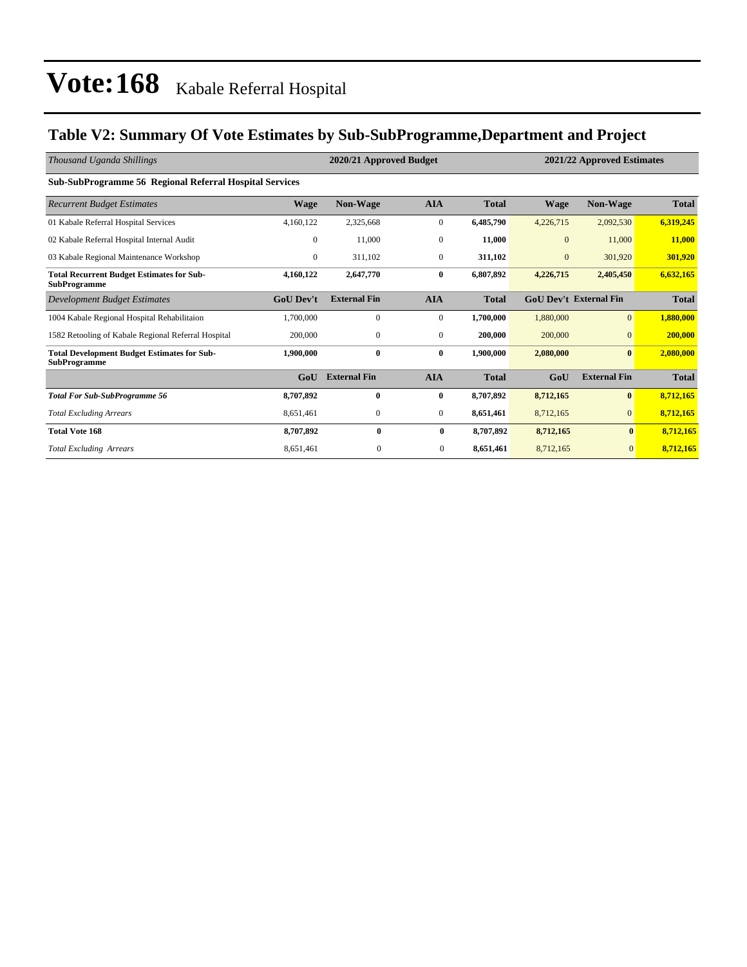### **Table V2: Summary Of Vote Estimates by Sub-SubProgramme,Department and Project**

| Thousand Uganda Shillings                                                 |                  | 2020/21 Approved Budget |                  |              |              | 2021/22 Approved Estimates    |              |  |
|---------------------------------------------------------------------------|------------------|-------------------------|------------------|--------------|--------------|-------------------------------|--------------|--|
| <b>Sub-SubProgramme 56 Regional Referral Hospital Services</b>            |                  |                         |                  |              |              |                               |              |  |
| <b>Recurrent Budget Estimates</b>                                         | Wage             | <b>Non-Wage</b>         | <b>AIA</b>       | <b>Total</b> | <b>Wage</b>  | <b>Non-Wage</b>               | <b>Total</b> |  |
| 01 Kabale Referral Hospital Services                                      | 4,160,122        | 2,325,668               | $\boldsymbol{0}$ | 6,485,790    | 4,226,715    | 2,092,530                     | 6,319,245    |  |
| 02 Kabale Referral Hospital Internal Audit                                | $\mathbf{0}$     | 11,000                  | $\mathbf{0}$     | 11,000       | $\mathbf{0}$ | 11,000                        | 11,000       |  |
| 03 Kabale Regional Maintenance Workshop                                   | $\overline{0}$   | 311,102                 | $\mathbf{0}$     | 311,102      | $\mathbf{0}$ | 301,920                       | 301,920      |  |
| <b>Total Recurrent Budget Estimates for Sub-</b><br><b>SubProgramme</b>   | 4,160,122        | 2,647,770               | $\bf{0}$         | 6,807,892    | 4,226,715    | 2,405,450                     | 6,632,165    |  |
| <b>Development Budget Estimates</b>                                       | <b>GoU Dev't</b> | <b>External Fin</b>     | <b>AIA</b>       | <b>Total</b> |              | <b>GoU Dev't External Fin</b> | <b>Total</b> |  |
| 1004 Kabale Regional Hospital Rehabilitaion                               | 1,700,000        | $\mathbf{0}$            | $\mathbf{0}$     | 1,700,000    | 1,880,000    | $\overline{0}$                | 1,880,000    |  |
| 1582 Retooling of Kabale Regional Referral Hospital                       | 200,000          | $\mathbf{0}$            | $\mathbf{0}$     | 200,000      | 200,000      | $\mathbf{0}$                  | 200,000      |  |
| <b>Total Development Budget Estimates for Sub-</b><br><b>SubProgramme</b> | 1,900,000        | $\bf{0}$                | 0                | 1,900,000    | 2,080,000    | $\bf{0}$                      | 2,080,000    |  |
|                                                                           | GoU              | <b>External Fin</b>     | <b>AIA</b>       | <b>Total</b> | GoU          | <b>External Fin</b>           | <b>Total</b> |  |
| <b>Total For Sub-SubProgramme 56</b>                                      | 8,707,892        | $\bf{0}$                | $\bf{0}$         | 8,707,892    | 8,712,165    | $\bf{0}$                      | 8,712,165    |  |
| <b>Total Excluding Arrears</b>                                            | 8,651,461        | $\mathbf{0}$            | $\mathbf{0}$     | 8,651,461    | 8,712,165    | $\mathbf{0}$                  | 8,712,165    |  |
| <b>Total Vote 168</b>                                                     | 8,707,892        | $\bf{0}$                | $\bf{0}$         | 8,707,892    | 8,712,165    | $\bf{0}$                      | 8,712,165    |  |
| <b>Total Excluding Arrears</b>                                            | 8,651,461        | $\mathbf{0}$            | $\overline{0}$   | 8,651,461    | 8,712,165    | $\overline{0}$                | 8,712,165    |  |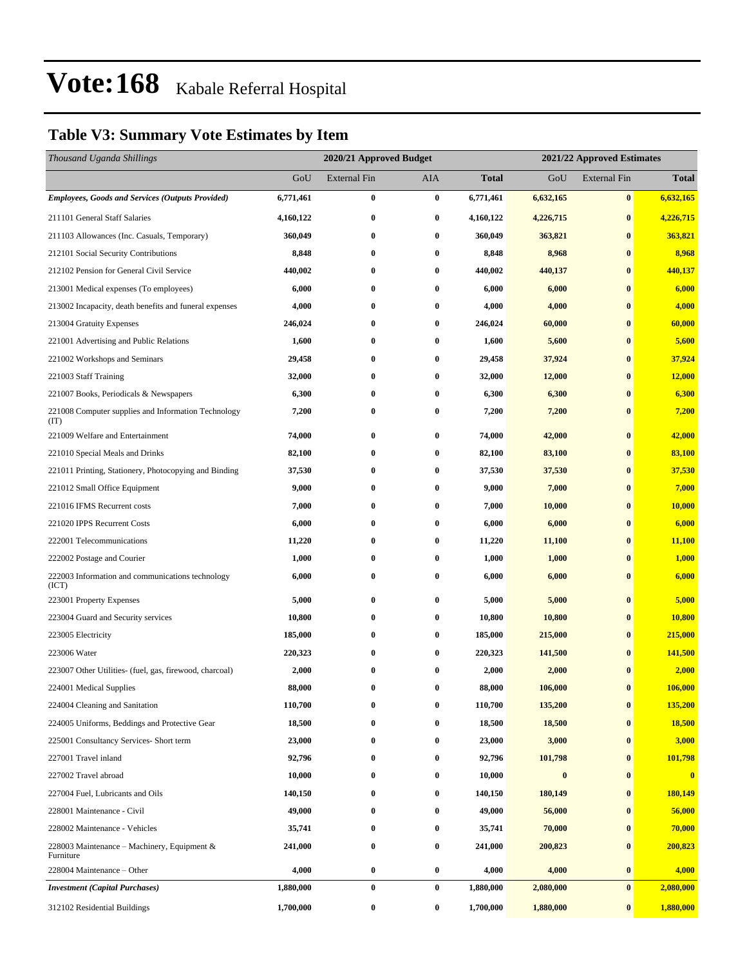### **Table V3: Summary Vote Estimates by Item**

| Thousand Uganda Shillings                                   |           | 2020/21 Approved Budget<br>2021/22 Approved Estimates |                  |              |                  |                     |              |
|-------------------------------------------------------------|-----------|-------------------------------------------------------|------------------|--------------|------------------|---------------------|--------------|
|                                                             | GoU       | External Fin                                          | AIA              | <b>Total</b> | GoU              | <b>External Fin</b> | <b>Total</b> |
| <b>Employees, Goods and Services (Outputs Provided)</b>     | 6,771,461 | 0                                                     | $\bf{0}$         | 6,771,461    | 6,632,165        | $\bf{0}$            | 6,632,165    |
| 211101 General Staff Salaries                               | 4,160,122 | $\bf{0}$                                              | $\bf{0}$         | 4,160,122    | 4,226,715        | $\bf{0}$            | 4,226,715    |
| 211103 Allowances (Inc. Casuals, Temporary)                 | 360,049   | $\bf{0}$                                              | $\bf{0}$         | 360,049      | 363,821          | $\bf{0}$            | 363,821      |
| 212101 Social Security Contributions                        | 8,848     | $\bf{0}$                                              | $\bf{0}$         | 8,848        | 8,968            | $\bf{0}$            | 8,968        |
| 212102 Pension for General Civil Service                    | 440,002   | $\bf{0}$                                              | $\bf{0}$         | 440,002      | 440,137          | $\bf{0}$            | 440,137      |
| 213001 Medical expenses (To employees)                      | 6,000     | $\bf{0}$                                              | $\bf{0}$         | 6,000        | 6,000            | $\bf{0}$            | 6,000        |
| 213002 Incapacity, death benefits and funeral expenses      | 4,000     | 0                                                     | 0                | 4,000        | 4,000            | $\bf{0}$            | 4,000        |
| 213004 Gratuity Expenses                                    | 246,024   | $\bf{0}$                                              | $\bf{0}$         | 246,024      | 60,000           | $\bf{0}$            | 60,000       |
| 221001 Advertising and Public Relations                     | 1,600     | $\bf{0}$                                              | $\bf{0}$         | 1,600        | 5,600            | $\bf{0}$            | 5,600        |
| 221002 Workshops and Seminars                               | 29,458    | $\bf{0}$                                              | $\bf{0}$         | 29,458       | 37,924           | $\bf{0}$            | 37,924       |
| 221003 Staff Training                                       | 32,000    | $\bf{0}$                                              | $\bf{0}$         | 32,000       | 12,000           | $\bf{0}$            | 12,000       |
| 221007 Books, Periodicals & Newspapers                      | 6,300     | 0                                                     | $\bf{0}$         | 6,300        | 6,300            | $\bf{0}$            | 6,300        |
| 221008 Computer supplies and Information Technology<br>(TT) | 7,200     | $\bf{0}$                                              | $\bf{0}$         | 7,200        | 7,200            | $\bf{0}$            | 7,200        |
| 221009 Welfare and Entertainment                            | 74,000    | $\bf{0}$                                              | $\bf{0}$         | 74,000       | 42,000           | $\bf{0}$            | 42,000       |
| 221010 Special Meals and Drinks                             | 82,100    | $\bf{0}$                                              | 0                | 82,100       | 83,100           | $\bf{0}$            | 83,100       |
| 221011 Printing, Stationery, Photocopying and Binding       | 37,530    | $\bf{0}$                                              | $\bf{0}$         | 37,530       | 37,530           | $\bf{0}$            | 37,530       |
| 221012 Small Office Equipment                               | 9,000     | $\bf{0}$                                              | $\bf{0}$         | 9,000        | 7,000            | $\bf{0}$            | 7,000        |
| 221016 IFMS Recurrent costs                                 | 7,000     | $\bf{0}$                                              | $\bf{0}$         | 7,000        | 10,000           | $\bf{0}$            | 10,000       |
| 221020 IPPS Recurrent Costs                                 | 6,000     | $\bf{0}$                                              | $\bf{0}$         | 6,000        | 6,000            | $\bf{0}$            | 6,000        |
| 222001 Telecommunications                                   | 11,220    | 0                                                     | 0                | 11,220       | 11,100           | $\bf{0}$            | 11,100       |
| 222002 Postage and Courier                                  | 1,000     | 0                                                     | $\bf{0}$         | 1,000        | 1,000            | $\bf{0}$            | 1,000        |
| 222003 Information and communications technology<br>(ICT)   | 6,000     | $\bf{0}$                                              | 0                | 6,000        | 6,000            | $\bf{0}$            | 6,000        |
| 223001 Property Expenses                                    | 5,000     | $\bf{0}$                                              | $\bf{0}$         | 5,000        | 5,000            | $\bf{0}$            | 5,000        |
| 223004 Guard and Security services                          | 10,800    | 0                                                     | $\bf{0}$         | 10,800       | 10,800           | $\bf{0}$            | 10,800       |
| 223005 Electricity                                          | 185,000   | $\bf{0}$                                              | $\bf{0}$         | 185,000      | 215,000          | $\bf{0}$            | 215,000      |
| 223006 Water                                                | 220,323   | $\bf{0}$                                              | $\bf{0}$         | 220,323      | 141,500          | $\bf{0}$            | 141,500      |
| 223007 Other Utilities- (fuel, gas, firewood, charcoal)     | 2,000     | $\bf{0}$                                              | $\bf{0}$         | 2,000        | 2,000            | $\bf{0}$            | 2,000        |
| 224001 Medical Supplies                                     | 88,000    | $\bf{0}$                                              | 0                | 88,000       | 106,000          | $\bf{0}$            | 106,000      |
| 224004 Cleaning and Sanitation                              | 110,700   | $\bf{0}$                                              | $\bf{0}$         | 110,700      | 135,200          | $\bf{0}$            | 135,200      |
| 224005 Uniforms, Beddings and Protective Gear               | 18,500    | $\bf{0}$                                              | 0                | 18,500       | 18,500           | $\bf{0}$            | 18,500       |
| 225001 Consultancy Services- Short term                     | 23,000    | $\bf{0}$                                              | $\boldsymbol{0}$ | 23,000       | 3,000            | $\bf{0}$            | 3,000        |
| 227001 Travel inland                                        | 92,796    | $\bf{0}$                                              | $\bf{0}$         | 92,796       | 101,798          | $\bf{0}$            | 101,798      |
| 227002 Travel abroad                                        | 10,000    | $\bf{0}$                                              | $\bf{0}$         | 10,000       | $\boldsymbol{0}$ | $\bf{0}$            | $\bf{0}$     |
| 227004 Fuel, Lubricants and Oils                            | 140,150   | 0                                                     | $\bf{0}$         | 140,150      | 180,149          | $\bf{0}$            | 180,149      |
| 228001 Maintenance - Civil                                  | 49,000    | $\bf{0}$                                              | 0                | 49,000       | 56,000           | $\bf{0}$            | 56,000       |
| 228002 Maintenance - Vehicles                               | 35,741    | $\bf{0}$                                              | $\boldsymbol{0}$ | 35,741       | 70,000           | $\bf{0}$            | 70,000       |
| 228003 Maintenance – Machinery, Equipment $\&$<br>Furniture | 241,000   | $\bf{0}$                                              | $\bf{0}$         | 241,000      | 200,823          | $\bf{0}$            | 200,823      |
| 228004 Maintenance - Other                                  | 4,000     | $\bf{0}$                                              | $\bf{0}$         | 4,000        | 4,000            | $\bf{0}$            | 4,000        |
| <b>Investment</b> (Capital Purchases)                       | 1,880,000 | $\pmb{0}$                                             | $\boldsymbol{0}$ | 1,880,000    | 2,080,000        | $\bf{0}$            | 2,080,000    |
| 312102 Residential Buildings                                | 1,700,000 | $\pmb{0}$                                             | $\bf{0}$         | 1,700,000    | 1,880,000        | $\bf{0}$            | 1,880,000    |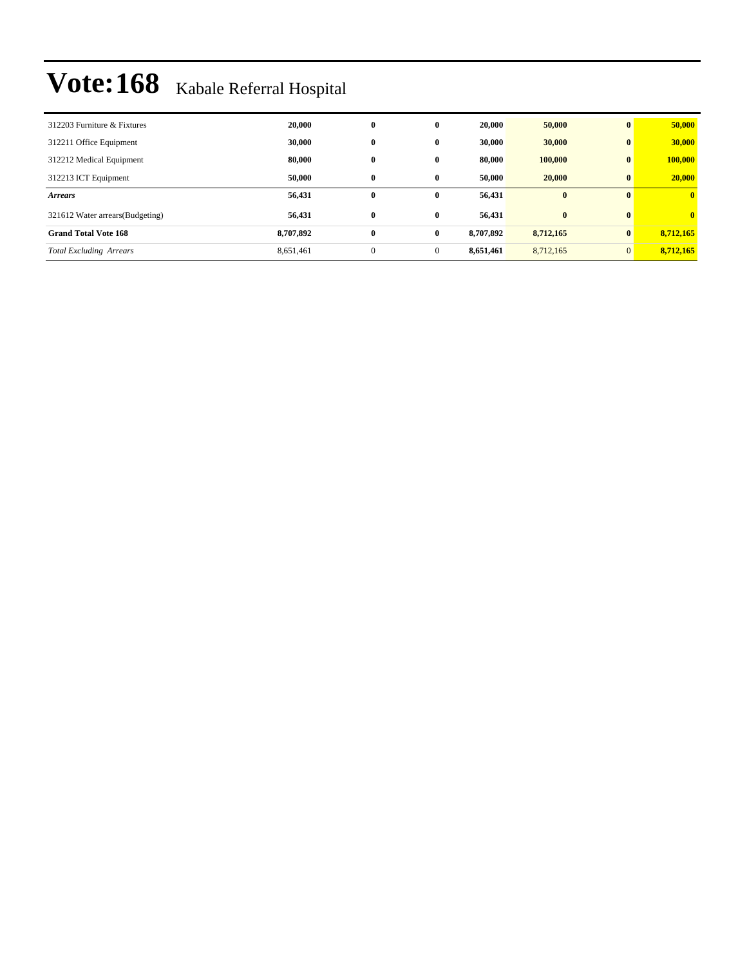| 312203 Furniture & Fixtures      | 20,000    | $\bf{0}$ | $\bf{0}$     | 20.000    | 50,000    | $\mathbf{0}$ | 50,000       |
|----------------------------------|-----------|----------|--------------|-----------|-----------|--------------|--------------|
| 312211 Office Equipment          | 30,000    | $\bf{0}$ | $\mathbf{0}$ | 30,000    | 30,000    | $\mathbf{0}$ | 30,000       |
| 312212 Medical Equipment         | 80,000    | $\bf{0}$ | $\mathbf{0}$ | 80,000    | 100,000   | $\bf{0}$     | 100,000      |
| 312213 ICT Equipment             | 50,000    | $\bf{0}$ | $\bf{0}$     | 50.000    | 20,000    | $\bf{0}$     | 20,000       |
| <b>Arrears</b>                   | 56,431    | $\bf{0}$ | $\bf{0}$     | 56,431    | $\bf{0}$  | $\mathbf{0}$ | $\mathbf{0}$ |
|                                  |           |          |              |           |           |              |              |
| 321612 Water arrears (Budgeting) | 56,431    | $\bf{0}$ | $\bf{0}$     | 56,431    | $\bf{0}$  | $\mathbf{0}$ | $\mathbf{0}$ |
| <b>Grand Total Vote 168</b>      | 8,707,892 | $\bf{0}$ | $\bf{0}$     | 8,707,892 | 8,712,165 | $\bf{0}$     | 8,712,165    |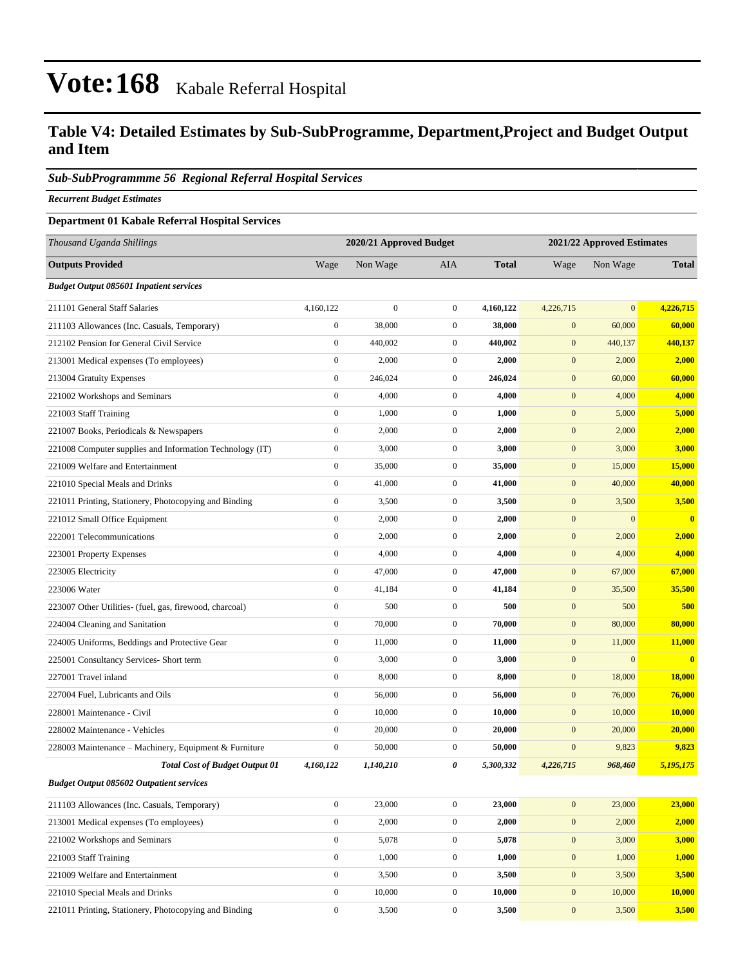### **Table V4: Detailed Estimates by Sub-SubProgramme, Department,Project and Budget Output and Item**

#### *Sub-SubProgrammme 56 Regional Referral Hospital Services*

*Recurrent Budget Estimates*

#### **Department 01 Kabale Referral Hospital Services**

| Thousand Uganda Shillings                                |                  | 2020/21 Approved Budget |                  |              | 2021/22 Approved Estimates |              |               |  |
|----------------------------------------------------------|------------------|-------------------------|------------------|--------------|----------------------------|--------------|---------------|--|
| <b>Outputs Provided</b>                                  | Wage             | Non Wage                | AIA              | <b>Total</b> | Wage                       | Non Wage     | <b>Total</b>  |  |
| <b>Budget Output 085601 Inpatient services</b>           |                  |                         |                  |              |                            |              |               |  |
| 211101 General Staff Salaries                            | 4,160,122        | $\boldsymbol{0}$        | $\overline{0}$   | 4,160,122    | 4,226,715                  | $\mathbf{0}$ | 4,226,715     |  |
| 211103 Allowances (Inc. Casuals, Temporary)              | $\mathbf{0}$     | 38,000                  | $\mathbf{0}$     | 38,000       | $\mathbf{0}$               | 60,000       | 60,000        |  |
| 212102 Pension for General Civil Service                 | $\boldsymbol{0}$ | 440,002                 | $\mathbf{0}$     | 440,002      | $\mathbf{0}$               | 440,137      | 440,137       |  |
| 213001 Medical expenses (To employees)                   | $\boldsymbol{0}$ | 2,000                   | $\mathbf{0}$     | 2,000        | $\mathbf{0}$               | 2,000        | 2,000         |  |
| 213004 Gratuity Expenses                                 | $\boldsymbol{0}$ | 246,024                 | $\mathbf{0}$     | 246,024      | $\mathbf{0}$               | 60,000       | 60,000        |  |
| 221002 Workshops and Seminars                            | $\boldsymbol{0}$ | 4,000                   | $\overline{0}$   | 4,000        | $\mathbf{0}$               | 4,000        | 4,000         |  |
| 221003 Staff Training                                    | $\mathbf{0}$     | 1,000                   | $\overline{0}$   | 1,000        | $\mathbf{0}$               | 5,000        | 5,000         |  |
| 221007 Books, Periodicals & Newspapers                   | $\boldsymbol{0}$ | 2,000                   | $\mathbf{0}$     | 2,000        | $\mathbf{0}$               | 2,000        | 2,000         |  |
| 221008 Computer supplies and Information Technology (IT) | $\boldsymbol{0}$ | 3,000                   | $\overline{0}$   | 3,000        | $\mathbf{0}$               | 3,000        | 3,000         |  |
| 221009 Welfare and Entertainment                         | $\boldsymbol{0}$ | 35,000                  | $\mathbf{0}$     | 35,000       | $\mathbf{0}$               | 15,000       | 15,000        |  |
| 221010 Special Meals and Drinks                          | $\boldsymbol{0}$ | 41,000                  | $\overline{0}$   | 41,000       | $\mathbf{0}$               | 40,000       | 40,000        |  |
| 221011 Printing, Stationery, Photocopying and Binding    | $\boldsymbol{0}$ | 3,500                   | $\mathbf{0}$     | 3,500        | $\mathbf{0}$               | 3,500        | 3,500         |  |
| 221012 Small Office Equipment                            | $\boldsymbol{0}$ | 2,000                   | $\mathbf{0}$     | 2,000        | $\mathbf{0}$               | $\mathbf{0}$ | $\bf{0}$      |  |
| 222001 Telecommunications                                | $\boldsymbol{0}$ | 2,000                   | $\overline{0}$   | 2,000        | $\mathbf{0}$               | 2,000        | 2,000         |  |
| 223001 Property Expenses                                 | $\boldsymbol{0}$ | 4,000                   | $\mathbf{0}$     | 4,000        | $\mathbf{0}$               | 4,000        | 4,000         |  |
| 223005 Electricity                                       | $\boldsymbol{0}$ | 47,000                  | $\overline{0}$   | 47,000       | $\mathbf{0}$               | 67,000       | 67,000        |  |
| 223006 Water                                             | $\mathbf{0}$     | 41,184                  | $\mathbf{0}$     | 41,184       | $\mathbf{0}$               | 35,500       | 35,500        |  |
| 223007 Other Utilities- (fuel, gas, firewood, charcoal)  | $\boldsymbol{0}$ | 500                     | $\mathbf{0}$     | 500          | $\mathbf{0}$               | 500          | 500           |  |
| 224004 Cleaning and Sanitation                           | $\boldsymbol{0}$ | 70,000                  | $\overline{0}$   | 70,000       | $\mathbf{0}$               | 80,000       | 80,000        |  |
| 224005 Uniforms, Beddings and Protective Gear            | $\boldsymbol{0}$ | 11,000                  | $\mathbf{0}$     | 11,000       | $\mathbf{0}$               | 11,000       | 11,000        |  |
| 225001 Consultancy Services- Short term                  | $\boldsymbol{0}$ | 3,000                   | $\overline{0}$   | 3,000        | $\mathbf{0}$               | $\mathbf{0}$ | $\bf{0}$      |  |
| 227001 Travel inland                                     | $\mathbf{0}$     | 8,000                   | $\overline{0}$   | 8,000        | $\mathbf{0}$               | 18,000       | 18,000        |  |
| 227004 Fuel, Lubricants and Oils                         | $\boldsymbol{0}$ | 56,000                  | $\mathbf{0}$     | 56,000       | $\mathbf{0}$               | 76,000       | 76,000        |  |
| 228001 Maintenance - Civil                               | $\boldsymbol{0}$ | 10,000                  | $\overline{0}$   | 10,000       | $\mathbf{0}$               | 10,000       | <b>10,000</b> |  |
| 228002 Maintenance - Vehicles                            | $\boldsymbol{0}$ | 20,000                  | $\mathbf{0}$     | 20,000       | $\mathbf{0}$               | 20,000       | 20,000        |  |
| 228003 Maintenance - Machinery, Equipment & Furniture    | $\boldsymbol{0}$ | 50,000                  | $\mathbf{0}$     | 50,000       | $\mathbf{0}$               | 9,823        | 9,823         |  |
| <b>Total Cost of Budget Output 01</b>                    | 4,160,122        | 1,140,210               | 0                | 5,300,332    | 4,226,715                  | 968,460      | 5,195,175     |  |
| <b>Budget Output 085602 Outpatient services</b>          |                  |                         |                  |              |                            |              |               |  |
| 211103 Allowances (Inc. Casuals, Temporary)              | $\boldsymbol{0}$ | 23,000                  | $\overline{0}$   | 23,000       | $\mathbf{0}$               | 23,000       | 23,000        |  |
| 213001 Medical expenses (To employees)                   | $\boldsymbol{0}$ | 2,000                   | $\boldsymbol{0}$ | 2,000        | $\boldsymbol{0}$           | 2,000        | 2,000         |  |
| 221002 Workshops and Seminars                            | $\boldsymbol{0}$ | 5,078                   | $\boldsymbol{0}$ | 5,078        | $\mathbf{0}$               | 3,000        | 3,000         |  |
| 221003 Staff Training                                    | $\boldsymbol{0}$ | 1,000                   | $\boldsymbol{0}$ | 1,000        | $\mathbf{0}$               | 1,000        | 1,000         |  |
| 221009 Welfare and Entertainment                         | $\mathbf{0}$     | 3,500                   | $\boldsymbol{0}$ | 3,500        | $\mathbf{0}$               | 3,500        | 3,500         |  |
| 221010 Special Meals and Drinks                          | $\boldsymbol{0}$ | 10,000                  | $\overline{0}$   | 10,000       | $\mathbf{0}$               | 10,000       | 10,000        |  |
| 221011 Printing, Stationery, Photocopying and Binding    | $\overline{0}$   | 3,500                   | $\mathbf{0}$     | 3,500        | $\mathbf{0}$               | 3,500        | 3,500         |  |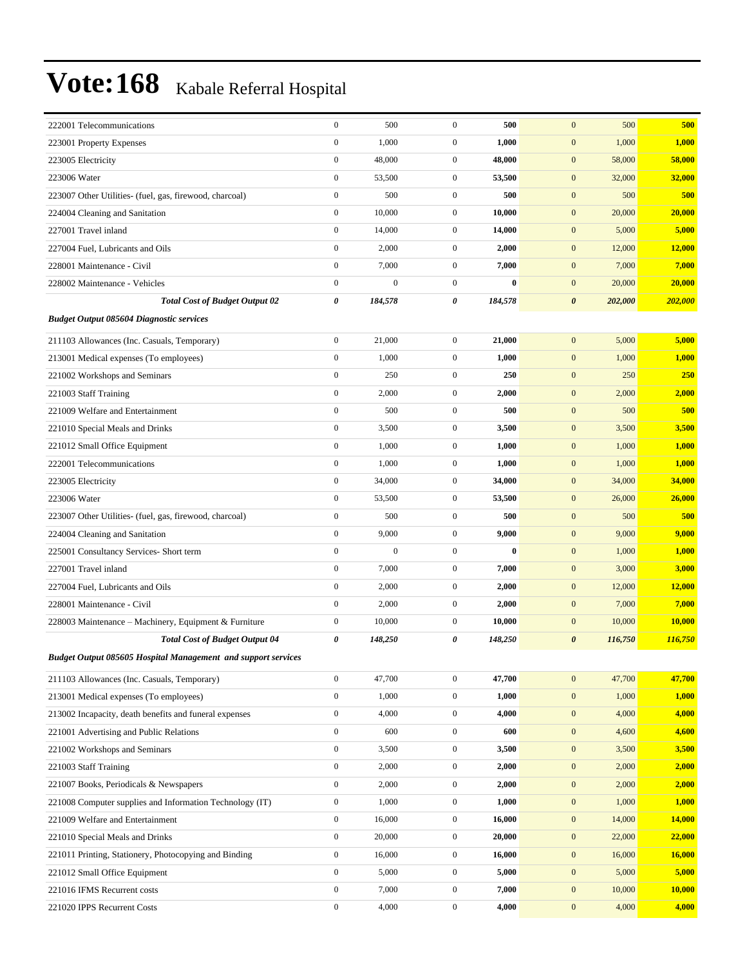| 222001 Telecommunications                                            | $\mathbf{0}$          | 500              | $\overline{0}$   | 500      | 500<br>$\mathbf{0}$              | 500           |
|----------------------------------------------------------------------|-----------------------|------------------|------------------|----------|----------------------------------|---------------|
| 223001 Property Expenses                                             | $\boldsymbol{0}$      | 1,000            | $\mathbf{0}$     | 1,000    | $\mathbf{0}$<br>1,000            | 1,000         |
| 223005 Electricity                                                   | $\boldsymbol{0}$      | 48,000           | $\mathbf{0}$     | 48,000   | $\mathbf{0}$<br>58,000           | 58,000        |
| 223006 Water                                                         | $\boldsymbol{0}$      | 53,500           | $\mathbf{0}$     | 53,500   | $\mathbf{0}$<br>32,000           | 32,000        |
| 223007 Other Utilities- (fuel, gas, firewood, charcoal)              | $\boldsymbol{0}$      | 500              | $\overline{0}$   | 500      | $\mathbf{0}$<br>500              | 500           |
| 224004 Cleaning and Sanitation                                       | $\boldsymbol{0}$      | 10,000           | $\mathbf{0}$     | 10,000   | $\mathbf{0}$<br>20,000           | 20,000        |
| 227001 Travel inland                                                 | $\boldsymbol{0}$      | 14,000           | $\mathbf{0}$     | 14,000   | $\mathbf{0}$<br>5,000            | 5,000         |
| 227004 Fuel, Lubricants and Oils                                     | $\boldsymbol{0}$      | 2,000            | $\overline{0}$   | 2,000    | $\mathbf{0}$<br>12,000           | 12,000        |
| 228001 Maintenance - Civil                                           | $\boldsymbol{0}$      | 7,000            | $\mathbf{0}$     | 7,000    | $\mathbf{0}$<br>7,000            | 7,000         |
| 228002 Maintenance - Vehicles                                        | $\boldsymbol{0}$      | $\mathbf{0}$     | $\overline{0}$   | $\bf{0}$ | $\mathbf{0}$<br>20,000           | 20,000        |
| <b>Total Cost of Budget Output 02</b>                                | $\boldsymbol{\theta}$ | 184,578          | 0                | 184,578  | $\boldsymbol{\theta}$<br>202,000 | 202,000       |
| <b>Budget Output 085604 Diagnostic services</b>                      |                       |                  |                  |          |                                  |               |
| 211103 Allowances (Inc. Casuals, Temporary)                          | $\boldsymbol{0}$      | 21,000           | $\overline{0}$   | 21,000   | $\mathbf{0}$<br>5,000            | 5,000         |
| 213001 Medical expenses (To employees)                               | $\boldsymbol{0}$      | 1,000            | $\mathbf{0}$     | 1,000    | $\mathbf{0}$<br>1,000            | 1,000         |
| 221002 Workshops and Seminars                                        | $\boldsymbol{0}$      | 250              | $\mathbf{0}$     | 250      | $\mathbf{0}$<br>250              | 250           |
| 221003 Staff Training                                                | $\boldsymbol{0}$      | 2,000            | $\mathbf{0}$     | 2,000    | $\mathbf{0}$<br>2,000            | 2,000         |
| 221009 Welfare and Entertainment                                     | $\boldsymbol{0}$      | 500              | $\overline{0}$   | 500      | $\mathbf{0}$<br>500              | 500           |
| 221010 Special Meals and Drinks                                      | $\boldsymbol{0}$      | 3,500            | $\overline{0}$   | 3,500    | $\mathbf{0}$<br>3,500            | 3,500         |
| 221012 Small Office Equipment                                        | $\boldsymbol{0}$      | 1,000            | $\overline{0}$   | 1,000    | $\mathbf{0}$<br>1,000            | 1,000         |
| 222001 Telecommunications                                            | $\boldsymbol{0}$      | 1,000            | $\mathbf{0}$     | 1,000    | $\mathbf{0}$<br>1,000            | 1,000         |
| 223005 Electricity                                                   | $\boldsymbol{0}$      | 34,000           | $\mathbf{0}$     | 34,000   | $\mathbf{0}$<br>34,000           | 34,000        |
| 223006 Water                                                         | $\boldsymbol{0}$      | 53,500           | $\mathbf{0}$     | 53,500   | $\mathbf{0}$<br>26,000           | 26,000        |
| 223007 Other Utilities- (fuel, gas, firewood, charcoal)              | $\boldsymbol{0}$      | 500              | $\overline{0}$   | 500      | $\mathbf{0}$<br>500              | 500           |
| 224004 Cleaning and Sanitation                                       | $\boldsymbol{0}$      | 9,000            | $\overline{0}$   | 9,000    | 9,000<br>$\mathbf{0}$            | 9,000         |
| 225001 Consultancy Services- Short term                              | $\boldsymbol{0}$      | $\boldsymbol{0}$ | $\mathbf{0}$     | $\bf{0}$ | $\mathbf{0}$<br>1,000            | 1,000         |
| 227001 Travel inland                                                 | $\boldsymbol{0}$      | 7,000            | $\overline{0}$   | 7,000    | $\mathbf{0}$<br>3,000            | 3,000         |
| 227004 Fuel, Lubricants and Oils                                     | $\boldsymbol{0}$      | 2,000            | $\mathbf{0}$     | 2,000    | $\mathbf{0}$<br>12,000           | 12,000        |
| 228001 Maintenance - Civil                                           | $\boldsymbol{0}$      | 2,000            | $\mathbf{0}$     | 2,000    | $\mathbf{0}$<br>7,000            | 7,000         |
| 228003 Maintenance – Machinery, Equipment & Furniture                | $\boldsymbol{0}$      | 10,000           | $\boldsymbol{0}$ | 10,000   | $\mathbf{0}$<br>10,000           | 10,000        |
| <b>Total Cost of Budget Output 04</b>                                | 0                     | 148,250          | 0                | 148,250  | $\boldsymbol{\theta}$<br>116,750 | 116,750       |
| <b>Budget Output 085605 Hospital Management and support services</b> |                       |                  |                  |          |                                  |               |
| 211103 Allowances (Inc. Casuals, Temporary)                          | $\boldsymbol{0}$      | 47,700           | $\overline{0}$   | 47,700   | $\mathbf{0}$<br>47,700           | 47,700        |
| 213001 Medical expenses (To employees)                               | $\boldsymbol{0}$      | 1,000            | $\boldsymbol{0}$ | 1,000    | $\mathbf{0}$<br>1,000            | 1,000         |
| 213002 Incapacity, death benefits and funeral expenses               | $\boldsymbol{0}$      | 4,000            | $\boldsymbol{0}$ | 4,000    | 4,000<br>$\mathbf{0}$            | 4,000         |
| 221001 Advertising and Public Relations                              | $\boldsymbol{0}$      | 600              | $\boldsymbol{0}$ | 600      | $\mathbf{0}$<br>4,600            | 4,600         |
| 221002 Workshops and Seminars                                        | $\boldsymbol{0}$      | 3,500            | $\mathbf{0}$     | 3,500    | $\mathbf{0}$<br>3,500            | 3,500         |
| 221003 Staff Training                                                | $\boldsymbol{0}$      | 2,000            | $\boldsymbol{0}$ | 2,000    | $\mathbf{0}$<br>2,000            | 2,000         |
| 221007 Books, Periodicals & Newspapers                               | $\boldsymbol{0}$      | 2,000            | $\boldsymbol{0}$ | 2,000    | $\mathbf{0}$<br>2,000            | 2,000         |
| 221008 Computer supplies and Information Technology (IT)             | $\boldsymbol{0}$      | 1,000            | $\boldsymbol{0}$ | 1,000    | $\mathbf{0}$<br>1,000            | 1,000         |
| 221009 Welfare and Entertainment                                     | $\boldsymbol{0}$      | 16,000           | $\boldsymbol{0}$ | 16,000   | 14,000<br>$\mathbf{0}$           | 14,000        |
| 221010 Special Meals and Drinks                                      | $\boldsymbol{0}$      | 20,000           | $\boldsymbol{0}$ | 20,000   | $\mathbf{0}$<br>22,000           | 22,000        |
| 221011 Printing, Stationery, Photocopying and Binding                | $\boldsymbol{0}$      | 16,000           | $\boldsymbol{0}$ | 16,000   | $\mathbf{0}$<br>16,000           | <b>16,000</b> |
| 221012 Small Office Equipment                                        | $\boldsymbol{0}$      | 5,000            | $\boldsymbol{0}$ | 5,000    | $\mathbf{0}$<br>5,000            | 5,000         |
| 221016 IFMS Recurrent costs                                          | $\boldsymbol{0}$      | 7,000            | $\boldsymbol{0}$ | 7,000    | $\mathbf{0}$<br>10,000           | 10,000        |
| 221020 IPPS Recurrent Costs                                          | $\boldsymbol{0}$      | 4,000            | $\boldsymbol{0}$ | 4,000    | $\mathbf{0}$<br>4,000            | 4,000         |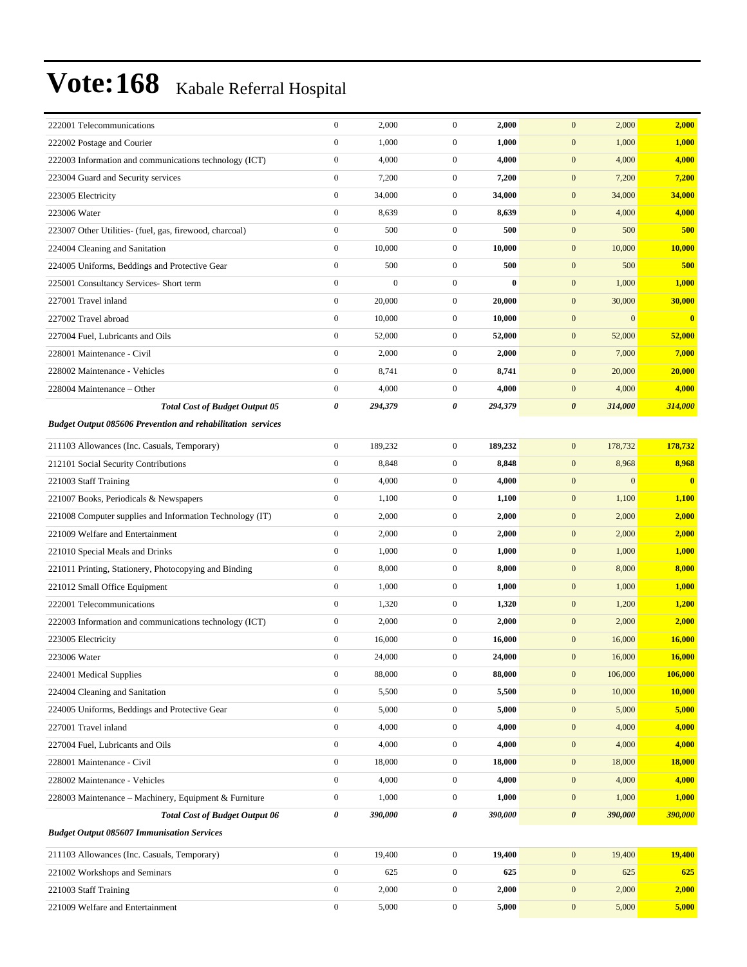| 222001 Telecommunications                                          | $\mathbf{0}$     | 2,000            | $\overline{0}$   | 2,000    | 2,000<br>$\mathbf{0}$            | 2,000         |
|--------------------------------------------------------------------|------------------|------------------|------------------|----------|----------------------------------|---------------|
| 222002 Postage and Courier                                         | $\mathbf{0}$     | 1,000            | $\mathbf{0}$     | 1,000    | $\mathbf{0}$<br>1,000            | 1,000         |
| 222003 Information and communications technology (ICT)             | $\boldsymbol{0}$ | 4,000            | $\overline{0}$   | 4,000    | $\mathbf{0}$<br>4,000            | 4,000         |
| 223004 Guard and Security services                                 | $\boldsymbol{0}$ | 7,200            | $\mathbf{0}$     | 7,200    | $\mathbf{0}$<br>7,200            | 7,200         |
| 223005 Electricity                                                 | $\boldsymbol{0}$ | 34,000           | $\mathbf{0}$     | 34,000   | $\mathbf{0}$<br>34,000           | 34,000        |
| 223006 Water                                                       | $\boldsymbol{0}$ | 8,639            | $\mathbf{0}$     | 8,639    | $\boldsymbol{0}$<br>4,000        | 4,000         |
| 223007 Other Utilities- (fuel, gas, firewood, charcoal)            | $\mathbf{0}$     | 500              | $\overline{0}$   | 500      | $\mathbf{0}$<br>500              | 500           |
| 224004 Cleaning and Sanitation                                     | $\boldsymbol{0}$ | 10,000           | $\overline{0}$   | 10,000   | $\mathbf{0}$<br>10,000           | 10,000        |
| 224005 Uniforms, Beddings and Protective Gear                      | $\boldsymbol{0}$ | 500              | $\mathbf{0}$     | 500      | $\mathbf{0}$<br>500              | 500           |
| 225001 Consultancy Services- Short term                            | $\boldsymbol{0}$ | $\boldsymbol{0}$ | $\overline{0}$   | $\bf{0}$ | $\mathbf{0}$<br>1,000            | 1,000         |
| 227001 Travel inland                                               | $\boldsymbol{0}$ | 20,000           | $\mathbf{0}$     | 20,000   | 30,000<br>$\mathbf{0}$           | 30,000        |
| 227002 Travel abroad                                               | $\boldsymbol{0}$ | 10,000           | $\overline{0}$   | 10,000   | $\mathbf{0}$<br>$\mathbf{0}$     | $\bf{0}$      |
| 227004 Fuel, Lubricants and Oils                                   | $\boldsymbol{0}$ | 52,000           | $\mathbf{0}$     | 52,000   | $\mathbf{0}$<br>52,000           | 52,000        |
| 228001 Maintenance - Civil                                         | $\boldsymbol{0}$ | 2,000            | $\mathbf{0}$     | 2,000    | $\mathbf{0}$<br>7,000            | 7,000         |
| 228002 Maintenance - Vehicles                                      | $\boldsymbol{0}$ | 8,741            | $\mathbf{0}$     | 8,741    | $\mathbf{0}$<br>20,000           | 20,000        |
| 228004 Maintenance – Other                                         | $\boldsymbol{0}$ | 4,000            | $\mathbf{0}$     | 4,000    | $\mathbf{0}$<br>4,000            | 4,000         |
| <b>Total Cost of Budget Output 05</b>                              | $\pmb{\theta}$   | 294,379          | 0                | 294,379  | $\boldsymbol{\theta}$<br>314,000 | 314,000       |
| <b>Budget Output 085606 Prevention and rehabilitation services</b> |                  |                  |                  |          |                                  |               |
| 211103 Allowances (Inc. Casuals, Temporary)                        | $\mathbf{0}$     | 189,232          | $\overline{0}$   | 189,232  | $\mathbf{0}$<br>178,732          | 178,732       |
| 212101 Social Security Contributions                               | $\boldsymbol{0}$ | 8,848            | $\mathbf{0}$     | 8,848    | 8,968<br>$\mathbf{0}$            | 8,968         |
| 221003 Staff Training                                              | $\boldsymbol{0}$ | 4,000            | $\mathbf{0}$     | 4,000    | $\mathbf{0}$<br>$\mathbf{0}$     | $\bf{0}$      |
| 221007 Books, Periodicals & Newspapers                             | $\boldsymbol{0}$ | 1,100            | $\mathbf{0}$     | 1,100    | $\mathbf{0}$<br>1,100            | 1,100         |
| 221008 Computer supplies and Information Technology (IT)           | $\boldsymbol{0}$ | 2,000            | $\overline{0}$   | 2,000    | $\mathbf{0}$<br>2,000            | 2,000         |
| 221009 Welfare and Entertainment                                   | $\mathbf{0}$     | 2,000            | $\overline{0}$   | 2,000    | $\mathbf{0}$<br>2,000            | 2,000         |
| 221010 Special Meals and Drinks                                    | $\boldsymbol{0}$ | 1,000            | $\mathbf{0}$     | 1,000    | $\mathbf{0}$<br>1,000            | 1,000         |
| 221011 Printing, Stationery, Photocopying and Binding              | $\boldsymbol{0}$ | 8,000            | $\mathbf{0}$     | 8,000    | $\mathbf{0}$<br>8,000            | 8,000         |
| 221012 Small Office Equipment                                      | $\boldsymbol{0}$ | 1,000            | $\mathbf{0}$     | 1,000    | $\mathbf{0}$<br>1,000            | 1,000         |
| 222001 Telecommunications                                          | $\boldsymbol{0}$ | 1,320            | $\mathbf{0}$     | 1,320    | $\mathbf{0}$<br>1,200            | 1,200         |
| 222003 Information and communications technology (ICT)             | $\boldsymbol{0}$ | 2,000            | $\mathbf{0}$     | 2,000    | $\mathbf{0}$<br>2,000            | 2,000         |
| 223005 Electricity                                                 | $\boldsymbol{0}$ | 16,000           | $\mathbf{0}$     | 16,000   | $\mathbf{0}$<br>16,000           | 16,000        |
| 223006 Water                                                       | $\boldsymbol{0}$ | 24,000           | $\overline{0}$   | 24,000   | $\mathbf{0}$<br>16,000           | 16,000        |
| 224001 Medical Supplies                                            | $\boldsymbol{0}$ | 88,000           | $\overline{0}$   | 88,000   | $\boldsymbol{0}$<br>106,000      | 106,000       |
| 224004 Cleaning and Sanitation                                     | $\boldsymbol{0}$ | 5,500            | $\boldsymbol{0}$ | 5,500    | $\mathbf{0}$<br>10,000           | <b>10,000</b> |
| 224005 Uniforms, Beddings and Protective Gear                      | $\boldsymbol{0}$ | 5,000            | $\boldsymbol{0}$ | 5,000    | $\mathbf{0}$<br>5,000            | 5,000         |
| 227001 Travel inland                                               | $\boldsymbol{0}$ | 4,000            | $\boldsymbol{0}$ | 4,000    | $\mathbf{0}$<br>4,000            | 4,000         |
| 227004 Fuel, Lubricants and Oils                                   | $\boldsymbol{0}$ | 4,000            | $\boldsymbol{0}$ | 4,000    | $\mathbf{0}$<br>4,000            | 4,000         |
| 228001 Maintenance - Civil                                         | $\boldsymbol{0}$ | 18,000           | $\boldsymbol{0}$ | 18,000   | $\mathbf{0}$<br>18,000           | <b>18,000</b> |
| 228002 Maintenance - Vehicles                                      | $\boldsymbol{0}$ | 4,000            | $\boldsymbol{0}$ | 4,000    | $\mathbf{0}$<br>4,000            | 4,000         |
| 228003 Maintenance - Machinery, Equipment & Furniture              | $\boldsymbol{0}$ | 1,000            | $\boldsymbol{0}$ | 1,000    | $\mathbf{0}$<br>1,000            | 1,000         |
| <b>Total Cost of Budget Output 06</b>                              | $\pmb{\theta}$   | 390,000          | 0                | 390,000  | $\boldsymbol{\theta}$<br>390,000 | 390,000       |
| <b>Budget Output 085607 Immunisation Services</b>                  |                  |                  |                  |          |                                  |               |
| 211103 Allowances (Inc. Casuals, Temporary)                        | $\boldsymbol{0}$ | 19,400           | $\boldsymbol{0}$ | 19,400   | $\mathbf{0}$<br>19,400           | 19,400        |
| 221002 Workshops and Seminars                                      | $\boldsymbol{0}$ | 625              | $\boldsymbol{0}$ | 625      | $\mathbf{0}$<br>625              | 625           |
| 221003 Staff Training                                              | $\boldsymbol{0}$ | 2,000            | $\boldsymbol{0}$ | 2,000    | $\boldsymbol{0}$<br>2,000        | 2,000         |
| 221009 Welfare and Entertainment                                   | $\boldsymbol{0}$ | 5,000            | $\boldsymbol{0}$ | 5,000    | $\mathbf{0}$<br>5,000            | 5,000         |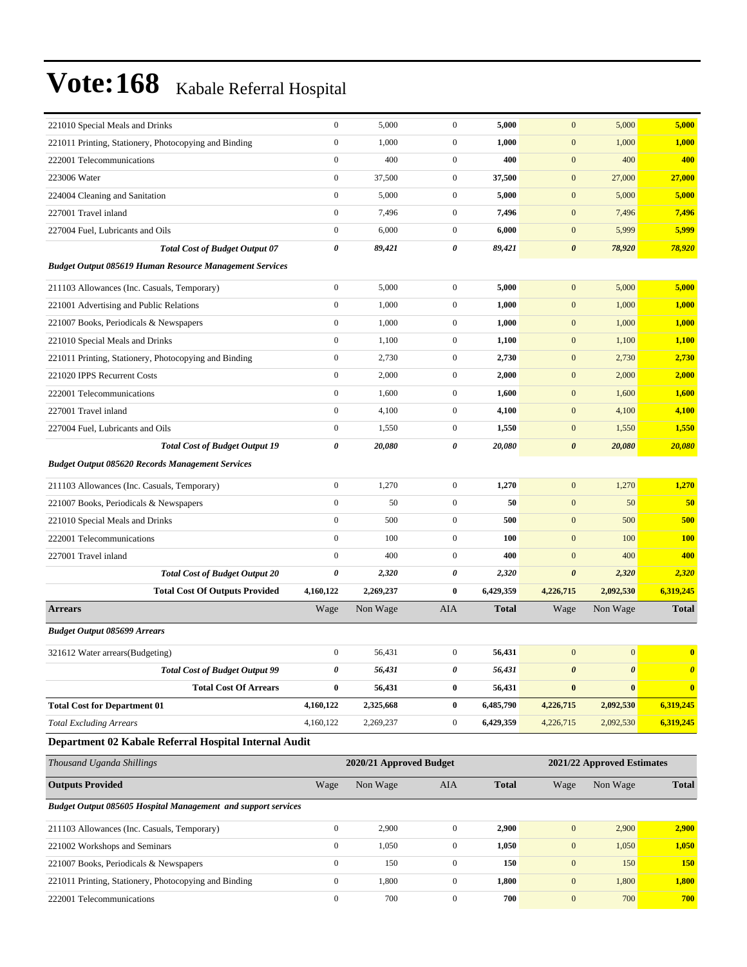| 221010 Special Meals and Drinks                                | $\boldsymbol{0}$ | 5,000                   | $\boldsymbol{0}$ | 5,000        | $\boldsymbol{0}$      | 5,000                      | 5,000                   |
|----------------------------------------------------------------|------------------|-------------------------|------------------|--------------|-----------------------|----------------------------|-------------------------|
| 221011 Printing, Stationery, Photocopying and Binding          | $\boldsymbol{0}$ | 1,000                   | $\boldsymbol{0}$ | 1,000        | $\boldsymbol{0}$      | 1,000                      | 1,000                   |
| 222001 Telecommunications                                      | $\boldsymbol{0}$ | 400                     | $\boldsymbol{0}$ | 400          | $\mathbf{0}$          | 400                        | 400                     |
| 223006 Water                                                   | $\boldsymbol{0}$ | 37,500                  | $\mathbf{0}$     | 37,500       | $\mathbf{0}$          | 27,000                     | 27,000                  |
| 224004 Cleaning and Sanitation                                 | $\boldsymbol{0}$ | 5,000                   | $\mathbf{0}$     | 5,000        | $\boldsymbol{0}$      | 5,000                      | 5,000                   |
| 227001 Travel inland                                           | $\boldsymbol{0}$ | 7,496                   | $\boldsymbol{0}$ | 7,496        | $\boldsymbol{0}$      | 7,496                      | 7,496                   |
| 227004 Fuel, Lubricants and Oils                               | $\boldsymbol{0}$ | 6,000                   | $\boldsymbol{0}$ | 6,000        | $\boldsymbol{0}$      | 5,999                      | 5,999                   |
| <b>Total Cost of Budget Output 07</b>                          | 0                | 89,421                  | 0                | 89,421       | $\boldsymbol{\theta}$ | 78,920                     | 78,920                  |
| <b>Budget Output 085619 Human Resource Management Services</b> |                  |                         |                  |              |                       |                            |                         |
| 211103 Allowances (Inc. Casuals, Temporary)                    | $\boldsymbol{0}$ | 5,000                   | $\boldsymbol{0}$ | 5,000        | $\mathbf{0}$          | 5,000                      | 5,000                   |
| 221001 Advertising and Public Relations                        | $\boldsymbol{0}$ | 1,000                   | $\mathbf{0}$     | 1,000        | $\boldsymbol{0}$      | 1,000                      | 1,000                   |
| 221007 Books, Periodicals & Newspapers                         | $\boldsymbol{0}$ | 1,000                   | $\boldsymbol{0}$ | 1,000        | $\boldsymbol{0}$      | 1,000                      | 1,000                   |
| 221010 Special Meals and Drinks                                | $\boldsymbol{0}$ | 1,100                   | $\boldsymbol{0}$ | 1,100        | $\boldsymbol{0}$      | 1,100                      | 1,100                   |
| 221011 Printing, Stationery, Photocopying and Binding          | $\boldsymbol{0}$ | 2,730                   | $\mathbf{0}$     | 2,730        | $\boldsymbol{0}$      | 2,730                      | 2,730                   |
| 221020 IPPS Recurrent Costs                                    | $\boldsymbol{0}$ | 2,000                   | $\boldsymbol{0}$ | 2,000        | $\boldsymbol{0}$      | 2,000                      | 2,000                   |
| 222001 Telecommunications                                      | $\boldsymbol{0}$ | 1,600                   | $\mathbf{0}$     | 1,600        | $\boldsymbol{0}$      | 1,600                      | 1,600                   |
| 227001 Travel inland                                           | $\boldsymbol{0}$ | 4,100                   | $\boldsymbol{0}$ | 4,100        | $\boldsymbol{0}$      | 4,100                      | 4,100                   |
| 227004 Fuel, Lubricants and Oils                               | $\boldsymbol{0}$ | 1,550                   | $\boldsymbol{0}$ | 1,550        | $\boldsymbol{0}$      | 1,550                      | 1,550                   |
| <b>Total Cost of Budget Output 19</b>                          | 0                | 20,080                  | 0                | 20,080       | $\boldsymbol{\theta}$ | 20,080                     | 20,080                  |
| <b>Budget Output 085620 Records Management Services</b>        |                  |                         |                  |              |                       |                            |                         |
| 211103 Allowances (Inc. Casuals, Temporary)                    | $\boldsymbol{0}$ | 1,270                   | $\boldsymbol{0}$ | 1,270        | $\mathbf{0}$          | 1,270                      | 1,270                   |
| 221007 Books, Periodicals & Newspapers                         | $\boldsymbol{0}$ | 50                      | $\boldsymbol{0}$ | 50           | $\boldsymbol{0}$      | 50                         | 50                      |
| 221010 Special Meals and Drinks                                | $\boldsymbol{0}$ | 500                     | $\mathbf{0}$     | 500          | $\boldsymbol{0}$      | 500                        | 500                     |
| 222001 Telecommunications                                      | $\boldsymbol{0}$ | 100                     | $\boldsymbol{0}$ | 100          | $\mathbf{0}$          | 100                        | <b>100</b>              |
| 227001 Travel inland                                           | $\boldsymbol{0}$ | 400                     | $\mathbf{0}$     | 400          | $\mathbf{0}$          | 400                        | 400                     |
| <b>Total Cost of Budget Output 20</b>                          | 0                | 2,320                   | 0                | 2,320        | $\boldsymbol{\theta}$ | 2,320                      | 2,320                   |
| <b>Total Cost Of Outputs Provided</b>                          | 4,160,122        | 2,269,237               | $\bf{0}$         | 6,429,359    | 4,226,715             | 2,092,530                  | 6,319,245               |
| <b>Arrears</b>                                                 | Wage             | Non Wage                | AIA              | <b>Total</b> | Wage                  | Non Wage                   | <b>Total</b>            |
| <b>Budget Output 085699 Arrears</b>                            |                  |                         |                  |              |                       |                            |                         |
| 321612 Water arrears(Budgeting)                                | $\boldsymbol{0}$ | 56,431                  | 0                | 56,431       | $\boldsymbol{0}$      | $\mathbf{0}$               | $\overline{\mathbf{0}}$ |
| <b>Total Cost of Budget Output 99</b>                          | 0                | 56,431                  | 0                | 56,431       | $\boldsymbol{\theta}$ | $\pmb{\theta}$             | $\boldsymbol{\theta}$   |
| <b>Total Cost Of Arrears</b>                                   | $\pmb{0}$        | 56,431                  | $\bf{0}$         | 56,431       | $\boldsymbol{0}$      | $\bf{0}$                   | $\mathbf{0}$            |
| <b>Total Cost for Department 01</b>                            | 4,160,122        | 2,325,668               | $\bf{0}$         | 6,485,790    | 4,226,715             | 2,092,530                  | 6,319,245               |
| <b>Total Excluding Arrears</b>                                 | 4,160,122        | 2,269,237               | $\boldsymbol{0}$ | 6,429,359    | 4,226,715             | 2,092,530                  | 6,319,245               |
| Department 02 Kabale Referral Hospital Internal Audit          |                  |                         |                  |              |                       |                            |                         |
| Thousand Uganda Shillings                                      |                  | 2020/21 Approved Budget |                  |              |                       | 2021/22 Approved Estimates |                         |
| <b>Outputs Provided</b>                                        | Wage             | Non Wage                | AIA              | <b>Total</b> | Wage                  | Non Wage                   | <b>Total</b>            |
| Budget Output 085605 Hospital Management and support services  |                  |                         |                  |              |                       |                            |                         |
| 211103 Allowances (Inc. Casuals, Temporary)                    | $\boldsymbol{0}$ | 2,900                   | $\boldsymbol{0}$ | 2,900        | $\boldsymbol{0}$      | 2,900                      | 2,900                   |
| 221002 Workshops and Seminars                                  | $\boldsymbol{0}$ | 1,050                   | $\boldsymbol{0}$ | 1,050        | $\boldsymbol{0}$      | 1,050                      | 1,050                   |
| 221007 Books, Periodicals & Newspapers                         | $\boldsymbol{0}$ | 150                     | $\boldsymbol{0}$ | 150          | $\boldsymbol{0}$      | 150                        | <b>150</b>              |
| 221011 Printing, Stationery, Photocopying and Binding          | $\boldsymbol{0}$ | 1,800                   | $\boldsymbol{0}$ | 1,800        | $\boldsymbol{0}$      | 1,800                      | 1,800                   |
| 222001 Telecommunications                                      | $\boldsymbol{0}$ | 700                     | $\boldsymbol{0}$ | 700          | $\boldsymbol{0}$      | 700                        | 700                     |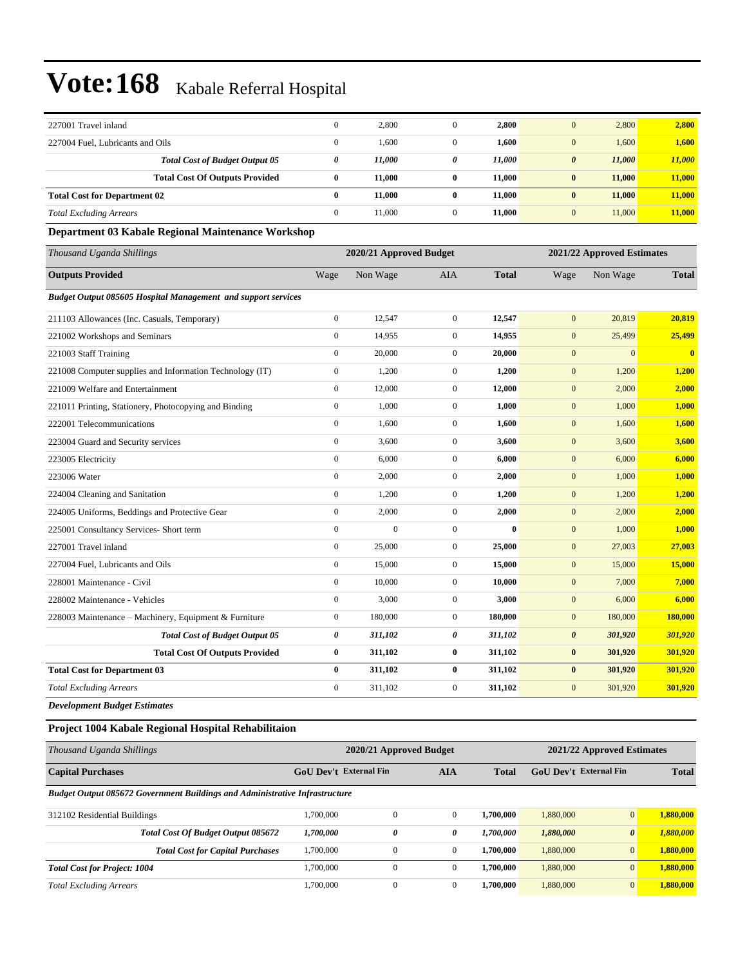| 227001 Travel inland                                                 | $\boldsymbol{0}$      | 2,800                   | $\boldsymbol{0}$ | 2,800                      | $\boldsymbol{0}$      | 2,800        | 2,800        |
|----------------------------------------------------------------------|-----------------------|-------------------------|------------------|----------------------------|-----------------------|--------------|--------------|
| 227004 Fuel, Lubricants and Oils                                     | $\boldsymbol{0}$      | 1,600                   | $\boldsymbol{0}$ | 1,600                      | $\mathbf{0}$          | 1,600        | 1,600        |
| <b>Total Cost of Budget Output 05</b>                                | $\boldsymbol{\theta}$ | 11,000                  | 0                | 11,000                     | $\pmb{\theta}$        | 11,000       | 11,000       |
| <b>Total Cost Of Outputs Provided</b>                                | $\bf{0}$              | 11,000                  | $\bf{0}$         | 11,000                     | $\bf{0}$              | 11,000       | 11,000       |
| <b>Total Cost for Department 02</b>                                  | $\bf{0}$              | 11,000                  | $\bf{0}$         | 11,000                     | $\bf{0}$              | 11,000       | 11,000       |
| <b>Total Excluding Arrears</b>                                       | $\mathbf{0}$          | 11,000                  | $\overline{0}$   | 11,000                     | $\mathbf{0}$          | 11,000       | 11,000       |
| Department 03 Kabale Regional Maintenance Workshop                   |                       |                         |                  |                            |                       |              |              |
| Thousand Uganda Shillings                                            |                       | 2020/21 Approved Budget |                  | 2021/22 Approved Estimates |                       |              |              |
| <b>Outputs Provided</b>                                              | Wage                  | Non Wage                | AIA              | <b>Total</b>               | Wage                  | Non Wage     | <b>Total</b> |
| <b>Budget Output 085605 Hospital Management and support services</b> |                       |                         |                  |                            |                       |              |              |
| 211103 Allowances (Inc. Casuals, Temporary)                          | $\mathbf{0}$          | 12,547                  | $\overline{0}$   | 12,547                     | $\mathbf{0}$          | 20,819       | 20,819       |
| 221002 Workshops and Seminars                                        | $\boldsymbol{0}$      | 14,955                  | $\overline{0}$   | 14,955                     | $\mathbf{0}$          | 25,499       | 25,499       |
| 221003 Staff Training                                                | $\boldsymbol{0}$      | 20,000                  | $\overline{0}$   | 20,000                     | $\mathbf{0}$          | $\mathbf{0}$ | $\bf{0}$     |
| 221008 Computer supplies and Information Technology (IT)             | $\boldsymbol{0}$      | 1,200                   | $\overline{0}$   | 1,200                      | $\mathbf{0}$          | 1,200        | 1,200        |
| 221009 Welfare and Entertainment                                     | $\boldsymbol{0}$      | 12,000                  | $\boldsymbol{0}$ | 12,000                     | $\mathbf{0}$          | 2,000        | 2,000        |
| 221011 Printing, Stationery, Photocopying and Binding                | $\boldsymbol{0}$      | 1,000                   | $\overline{0}$   | 1,000                      | $\mathbf{0}$          | 1,000        | 1,000        |
| 222001 Telecommunications                                            | $\boldsymbol{0}$      | 1,600                   | $\overline{0}$   | 1,600                      | $\mathbf{0}$          | 1,600        | 1,600        |
| 223004 Guard and Security services                                   | $\boldsymbol{0}$      | 3,600                   | $\boldsymbol{0}$ | 3,600                      | $\mathbf{0}$          | 3,600        | 3,600        |
| 223005 Electricity                                                   | $\boldsymbol{0}$      | 6,000                   | $\boldsymbol{0}$ | 6,000                      | $\mathbf{0}$          | 6,000        | 6,000        |
| 223006 Water                                                         | $\boldsymbol{0}$      | 2,000                   | $\overline{0}$   | 2,000                      | $\boldsymbol{0}$      | 1,000        | 1,000        |
| 224004 Cleaning and Sanitation                                       | $\boldsymbol{0}$      | 1,200                   | $\overline{0}$   | 1,200                      | $\boldsymbol{0}$      | 1,200        | 1,200        |
| 224005 Uniforms, Beddings and Protective Gear                        | $\mathbf{0}$          | 2,000                   | $\overline{0}$   | 2,000                      | $\boldsymbol{0}$      | 2,000        | 2,000        |
| 225001 Consultancy Services- Short term                              | $\mathbf{0}$          | $\overline{0}$          | $\overline{0}$   | $\bf{0}$                   | $\boldsymbol{0}$      | 1,000        | 1,000        |
| 227001 Travel inland                                                 | $\boldsymbol{0}$      | 25,000                  | $\boldsymbol{0}$ | 25,000                     | $\mathbf{0}$          | 27,003       | 27,003       |
| 227004 Fuel, Lubricants and Oils                                     | $\mathbf{0}$          | 15,000                  | $\overline{0}$   | 15,000                     | $\mathbf{0}$          | 15,000       | 15,000       |
| 228001 Maintenance - Civil                                           | $\mathbf{0}$          | 10,000                  | $\overline{0}$   | 10,000                     | $\mathbf{0}$          | 7,000        | 7,000        |
| 228002 Maintenance - Vehicles                                        | $\boldsymbol{0}$      | 3,000                   | $\overline{0}$   | 3,000                      | $\mathbf{0}$          | 6,000        | 6,000        |
| 228003 Maintenance - Machinery, Equipment & Furniture                | $\boldsymbol{0}$      | 180,000                 | $\overline{0}$   | 180,000                    | $\mathbf{0}$          | 180,000      | 180,000      |
| <b>Total Cost of Budget Output 05</b>                                | $\boldsymbol{\theta}$ | 311,102                 | 0                | 311,102                    | $\boldsymbol{\theta}$ | 301,920      | 301,920      |
| <b>Total Cost Of Outputs Provided</b>                                | $\bf{0}$              | 311,102                 | $\bf{0}$         | 311,102                    | $\bf{0}$              | 301,920      | 301,920      |
| <b>Total Cost for Department 03</b>                                  | $\bf{0}$              | 311,102                 | $\bf{0}$         | 311,102                    | $\bf{0}$              | 301,920      | 301,920      |
| <b>Total Excluding Arrears</b>                                       | $\boldsymbol{0}$      | 311,102                 | $\boldsymbol{0}$ | 311,102                    | $\mathbf{0}$          | 301,920      | 301,920      |
| <b>Development Budget Estimates</b>                                  |                       |                         |                  |                            |                       |              |              |

### **Project 1004 Kabale Regional Hospital Rehabilitaion**

| Thousand Uganda Shillings                                                          |                                             | 2020/21 Approved Budget | 2021/22 Approved Estimates |                               |           |                       |           |
|------------------------------------------------------------------------------------|---------------------------------------------|-------------------------|----------------------------|-------------------------------|-----------|-----------------------|-----------|
| <b>Capital Purchases</b>                                                           | <b>GoU Dev't External Fin</b><br><b>AIA</b> |                         | <b>Total</b>               | <b>GoU</b> Dev't External Fin |           | <b>Total</b>          |           |
| <b>Budget Output 085672 Government Buildings and Administrative Infrastructure</b> |                                             |                         |                            |                               |           |                       |           |
| 312102 Residential Buildings                                                       | 1,700,000                                   | $\Omega$                | $\Omega$                   | 1.700.000                     | 1,880,000 | $\overline{0}$        | 1.880.000 |
| Total Cost Of Budget Output 085672                                                 | 1,700,000                                   | 0                       | 0                          | 1,700,000                     | 1,880,000 | $\boldsymbol{\theta}$ | 1,880,000 |
| <b>Total Cost for Capital Purchases</b>                                            | 1,700,000                                   | $\mathbf{0}$            | $\mathbf{0}$               | 1.700.000                     | 1,880,000 | $\overline{0}$        | 1,880,000 |
| <b>Total Cost for Project: 1004</b>                                                | 1.700,000                                   | $\Omega$                | $\Omega$                   | 1.700.000                     | 1,880,000 | $\overline{0}$        | 1,880,000 |
| <b>Total Excluding Arrears</b>                                                     | 1,700,000                                   | $\mathbf{0}$            | $\Omega$                   | 1.700.000                     | 1,880,000 | $\overline{0}$        | 1,880,000 |